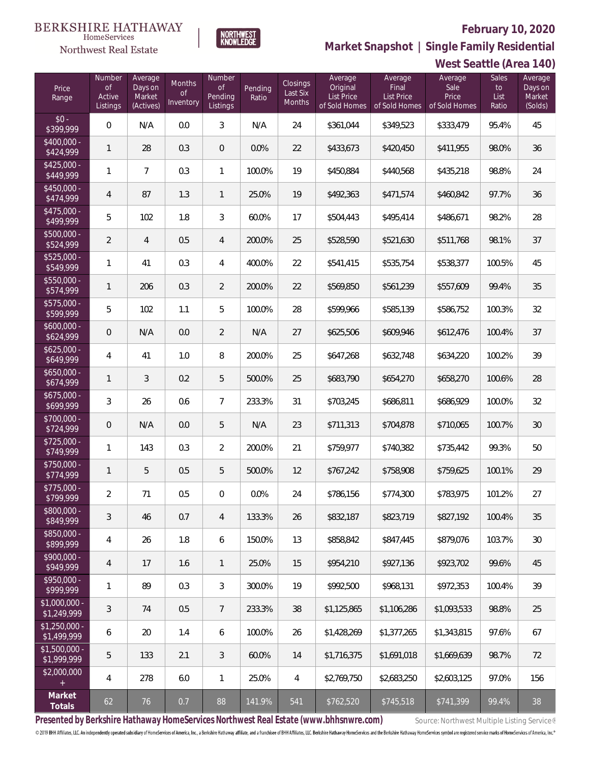**West Seattle (Area 140)**



**Market Snapshot | Single Family Residential**

| <b>BERKSHIRE HATHAWAY</b><br><b>HomeServices</b><br>Northwest Real Estate |         |         |       |  |  |  |  |  |  |  |
|---------------------------------------------------------------------------|---------|---------|-------|--|--|--|--|--|--|--|
|                                                                           |         |         |       |  |  |  |  |  |  |  |
|                                                                           | Number, | Average | Month |  |  |  |  |  |  |  |

| Price<br>Range                | Number<br>of<br>Active<br>Listings | Average<br>Days on<br>Market<br>(Actives) | Months<br><b>of</b><br>Inventory | Number<br><b>of</b><br>Pending<br>Listings | Pending<br>Ratio | Closings<br>Last Six<br>Months | Average<br>Original<br>List Price<br>of Sold Homes | Average<br>Final<br><b>List Price</b><br>of Sold Homes | Average<br>Sale<br>Price<br>of Sold Homes | <b>Sales</b><br>to<br>List<br>Ratio | Average<br>Days on<br>Market<br>(Solds) |
|-------------------------------|------------------------------------|-------------------------------------------|----------------------------------|--------------------------------------------|------------------|--------------------------------|----------------------------------------------------|--------------------------------------------------------|-------------------------------------------|-------------------------------------|-----------------------------------------|
| $$0 -$<br>\$399,999           | $\overline{0}$                     | N/A                                       | 0.0                              | $\mathfrak{Z}$                             | N/A              | 24                             | \$361,044                                          | \$349,523                                              | \$333,479                                 | 95.4%                               | 45                                      |
| $$400,000 -$<br>\$424,999     | $\mathbf{1}$                       | 28                                        | 0.3                              | $\mathbf{0}$                               | 0.0%             | 22                             | \$433,673                                          | \$420,450                                              | \$411,955                                 | 98.0%                               | 36                                      |
| $$425,000 -$<br>\$449,999     | $\mathbf{1}$                       | $\overline{7}$                            | 0.3                              | $\mathbf{1}$                               | 100.0%           | 19                             | \$450,884                                          | \$440,568                                              | \$435,218                                 | 98.8%                               | 24                                      |
| $$450,000 -$<br>\$474,999     | 4                                  | 87                                        | 1.3                              | 1                                          | 25.0%            | 19                             | \$492,363                                          | \$471,574                                              | \$460,842                                 | 97.7%                               | 36                                      |
| $$475,000 -$<br>\$499,999     | 5                                  | 102                                       | 1.8                              | $\mathfrak{Z}$                             | 60.0%            | 17                             | \$504,443                                          | \$495,414                                              | \$486,671                                 | 98.2%                               | 28                                      |
| \$500,000 -<br>\$524,999      | $\overline{2}$                     | $\overline{4}$                            | 0.5                              | $\overline{4}$                             | 200.0%           | 25                             | \$528,590                                          | \$521,630                                              | \$511,768                                 | 98.1%                               | 37                                      |
| $$525,000 -$<br>\$549,999     | $\mathbf{1}$                       | 41                                        | 0.3                              | 4                                          | 400.0%           | 22                             | \$541,415                                          | \$535,754                                              | \$538,377                                 | 100.5%                              | 45                                      |
| \$550,000 -<br>\$574,999      | 1                                  | 206                                       | 0.3                              | $\overline{2}$                             | 200.0%           | 22                             | \$569,850                                          | \$561,239                                              | \$557,609                                 | 99.4%                               | 35                                      |
| \$575,000 -<br>\$599,999      | 5                                  | 102                                       | 1.1                              | 5                                          | 100.0%           | 28                             | \$599,966                                          | \$585,139                                              | \$586,752                                 | 100.3%                              | 32                                      |
| $$600,000 -$<br>\$624,999     | $\overline{0}$                     | N/A                                       | 0.0                              | $\overline{2}$                             | N/A              | 27                             | \$625,506                                          | \$609,946                                              | \$612,476                                 | 100.4%                              | 37                                      |
| $$625,000 -$<br>\$649,999     | 4                                  | 41                                        | 1.0                              | 8                                          | 200.0%           | 25                             | \$647,268                                          | \$632,748                                              | \$634,220                                 | 100.2%                              | 39                                      |
| $$650,000 -$<br>\$674,999     | 1                                  | 3                                         | 0.2                              | 5                                          | 500.0%           | 25                             | \$683,790                                          | \$654,270                                              | \$658,270                                 | 100.6%                              | 28                                      |
| $$675,000 -$<br>\$699,999     | 3                                  | 26                                        | 0.6                              | $\overline{7}$                             | 233.3%           | 31                             | \$703,245                                          | \$686,811                                              | \$686,929                                 | 100.0%                              | 32                                      |
| \$700,000 -<br>\$724,999      | $\overline{0}$                     | N/A                                       | 0.0                              | 5                                          | N/A              | 23                             | \$711,313                                          | \$704,878                                              | \$710,065                                 | 100.7%                              | 30                                      |
| $$725,000 -$<br>\$749,999     | $\mathbf{1}$                       | 143                                       | 0.3                              | $\overline{2}$                             | 200.0%           | 21                             | \$759,977                                          | \$740,382                                              | \$735,442                                 | 99.3%                               | 50                                      |
| $$750,000 -$<br>\$774,999     | 1                                  | 5                                         | 0.5                              | 5                                          | 500.0%           | 12                             | \$767,242                                          | \$758,908                                              | \$759,625                                 | 100.1%                              | 29                                      |
| $$775,000 -$<br>\$799,999     | $\overline{2}$                     | 71                                        | 0.5                              | $\mathbf{0}$                               | 0.0%             | 24                             | \$786,156                                          | \$774,300                                              | \$783,975                                 | 101.2%                              | 27                                      |
| \$800,000 -<br>\$849,999      | 3                                  | 46                                        | 0.7                              | $\overline{4}$                             | 133.3%           | 26                             | \$832,187                                          | \$823,719                                              | \$827,192                                 | 100.4%                              | 35                                      |
| \$850,000 -<br>\$899,999      | 4                                  | 26                                        | 1.8                              | 6                                          | 150.0%           | 13                             | \$858,842                                          | \$847,445                                              | \$879,076                                 | 103.7%                              | 30                                      |
| \$900,000 -<br>\$949,999      | 4                                  | 17                                        | 1.6                              | 1                                          | 25.0%            | 15                             | \$954,210                                          | \$927,136                                              | \$923,702                                 | 99.6%                               | 45                                      |
| \$950,000 -<br>\$999,999      | 1                                  | 89                                        | 0.3                              | $\mathfrak{Z}$                             | 300.0%           | 19                             | \$992,500                                          | \$968,131                                              | \$972,353                                 | 100.4%                              | 39                                      |
| \$1,000,000 -<br>\$1,249,999  | 3                                  | 74                                        | 0.5                              | $\overline{7}$                             | 233.3%           | 38                             | \$1,125,865                                        | \$1,106,286                                            | \$1,093,533                               | 98.8%                               | 25                                      |
| $$1,250,000 -$<br>\$1,499,999 | 6                                  | 20                                        | 1.4                              | 6                                          | 100.0%           | 26                             | \$1,428,269                                        | \$1,377,265                                            | \$1,343,815                               | 97.6%                               | 67                                      |
| $$1,500,000 -$<br>\$1,999,999 | 5                                  | 133                                       | 2.1                              | $\mathfrak{Z}$                             | 60.0%            | 14                             | \$1,716,375                                        | \$1,691,018                                            | \$1,669,639                               | 98.7%                               | 72                                      |
| \$2,000,000<br>$\pm$          | 4                                  | 278                                       | 6.0                              | $\mathbf{1}$                               | 25.0%            | 4                              | \$2,769,750                                        | \$2,683,250                                            | \$2,603,125                               | 97.0%                               | 156                                     |
| Market<br>Totals              | 62                                 | 76                                        | 0.7                              | $88\,$                                     | 141.9%           | 541                            | \$762,520                                          | \$745,518                                              | \$741,399                                 | 99.4%                               | 38                                      |

Presented by Berkshire Hathaway HomeServices Northwest Real Estate (www.bhhsnwre.com) Source: Northwest Multiple Listing Service®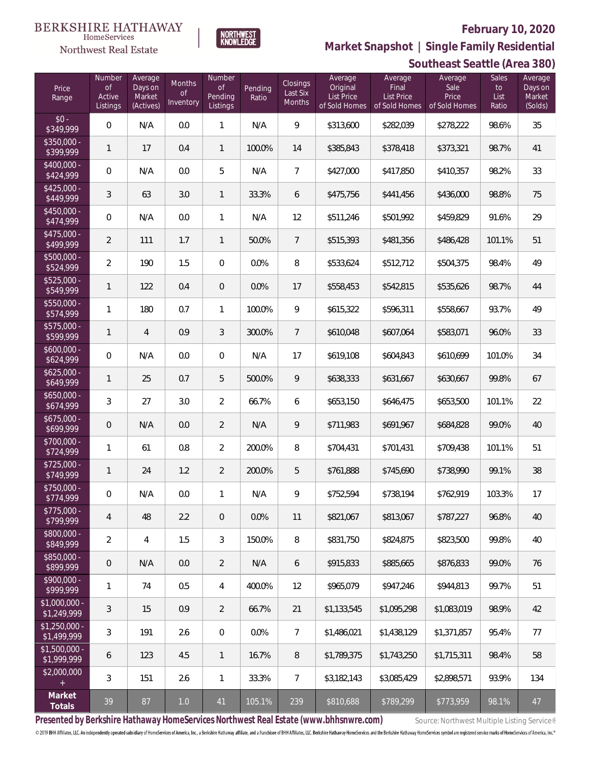

**Market Snapshot | Single Family Residential**

### $\label{lem:sevices} \textsc{Home} \textsc{Service} \textsc{s}$ Northwest Real Estate

|                               | Southeast Seattle (Area 380)              |                                           |                                  |                                            |                  |                                |                                                    |                                                        |                                           |                                     |                                         |
|-------------------------------|-------------------------------------------|-------------------------------------------|----------------------------------|--------------------------------------------|------------------|--------------------------------|----------------------------------------------------|--------------------------------------------------------|-------------------------------------------|-------------------------------------|-----------------------------------------|
| Price<br>Range                | Number<br><b>of</b><br>Active<br>Listings | Average<br>Days on<br>Market<br>(Actives) | Months<br><b>of</b><br>Inventory | Number<br><b>of</b><br>Pending<br>Listings | Pending<br>Ratio | Closings<br>Last Six<br>Months | Average<br>Original<br>List Price<br>of Sold Homes | Average<br>Final<br><b>List Price</b><br>of Sold Homes | Average<br>Sale<br>Price<br>of Sold Homes | <b>Sales</b><br>to<br>List<br>Ratio | Average<br>Days on<br>Market<br>(Solds) |
| $$0 -$<br>\$349,999           | $\mathbf 0$                               | N/A                                       | 0.0                              | $\mathbf{1}$                               | N/A              | 9                              | \$313,600                                          | \$282,039                                              | \$278,222                                 | 98.6%                               | 35                                      |
| $$350,000 -$<br>\$399,999     | 1                                         | 17                                        | 0.4                              | $\mathbf{1}$                               | 100.0%           | 14                             | \$385,843                                          | \$378,418                                              | \$373,321                                 | 98.7%                               | 41                                      |
| $$400,000 -$<br>\$424,999     | $\mathbf 0$                               | N/A                                       | 0.0                              | $\mathbf 5$                                | N/A              | $\overline{7}$                 | \$427,000                                          | \$417,850                                              | \$410,357                                 | 98.2%                               | 33                                      |
| $$425,000 -$<br>\$449,999     | 3                                         | 63                                        | 3.0                              | $\mathbf{1}$                               | 33.3%            | 6                              | \$475,756                                          | \$441,456                                              | \$436,000                                 | 98.8%                               | 75                                      |
| $$450,000 -$<br>\$474,999     | $\mathbf 0$                               | N/A                                       | 0.0                              | $\mathbf{1}$                               | N/A              | 12                             | \$511,246                                          | \$501,992                                              | \$459,829                                 | 91.6%                               | 29                                      |
| $$475,000 -$<br>\$499,999     | $\overline{2}$                            | 111                                       | 1.7                              | $\mathbf{1}$                               | 50.0%            | $7\overline{ }$                | \$515,393                                          | \$481,356                                              | \$486,428                                 | 101.1%                              | 51                                      |
| \$500,000 -<br>\$524,999      | $\overline{2}$                            | 190                                       | 1.5                              | $\mathbf 0$                                | 0.0%             | 8                              | \$533,624                                          | \$512,712                                              | \$504,375                                 | 98.4%                               | 49                                      |
| $$525,000 -$<br>\$549,999     | $\mathbf{1}$                              | 122                                       | 0.4                              | $\theta$                                   | 0.0%             | 17                             | \$558,453                                          | \$542,815                                              | \$535,626                                 | 98.7%                               | 44                                      |
| \$550,000 -<br>\$574,999      | $\mathbf{1}$                              | 180                                       | 0.7                              | $\mathbf{1}$                               | 100.0%           | 9                              | \$615,322                                          | \$596,311                                              | \$558,667                                 | 93.7%                               | 49                                      |
| \$575,000 -<br>\$599,999      | 1                                         | $\overline{4}$                            | 0.9                              | $\mathfrak{Z}$                             | 300.0%           | $7\overline{ }$                | \$610,048                                          | \$607,064                                              | \$583,071                                 | 96.0%                               | 33                                      |
| $$600,000 -$<br>\$624,999     | $\mathbf 0$                               | N/A                                       | 0.0                              | 0                                          | N/A              | 17                             | \$619,108                                          | \$604,843                                              | \$610,699                                 | 101.0%                              | 34                                      |
| $$625,000 -$<br>\$649,999     | 1                                         | 25                                        | 0.7                              | 5                                          | 500.0%           | 9                              | \$638,333                                          | \$631,667                                              | \$630,667                                 | 99.8%                               | 67                                      |
| $$650,000 -$<br>\$674,999     | 3                                         | 27                                        | 3.0                              | $\overline{2}$                             | 66.7%            | 6                              | \$653,150                                          | \$646,475                                              | \$653,500                                 | 101.1%                              | 22                                      |
| $$675,000 -$<br>\$699,999     | $\mathbf 0$                               | N/A                                       | 0.0                              | $\sqrt{2}$                                 | N/A              | 9                              | \$711,983                                          | \$691,967                                              | \$684,828                                 | 99.0%                               | 40                                      |
| $$700,000 -$<br>\$724,999     | 1                                         | 61                                        | 0.8                              | $\overline{2}$                             | 200.0%           | 8                              | \$704,431                                          | \$701,431                                              | \$709,438                                 | 101.1%                              | 51                                      |
| $$725,000 -$<br>\$749,999     | 1                                         | 24                                        | 1.2                              | $\overline{2}$                             | 200.0%           | 5                              | \$761,888                                          | \$745,690                                              | \$738,990                                 | 99.1%                               | 38                                      |
| \$750,000 -<br>\$774,999      | $\mathbf{0}$                              | N/A                                       | 0.0                              | $\mathbf{1}$                               | N/A              | 9                              | \$752,594                                          | \$738,194                                              | \$762,919                                 | 103.3%                              | 17                                      |
| $$775,000 -$<br>\$799,999     | 4                                         | 48                                        | 2.2                              | $\theta$                                   | 0.0%             | 11                             | \$821,067                                          | \$813,067                                              | \$787,227                                 | 96.8%                               | 40                                      |
| $$800,000 -$<br>\$849,999     | 2                                         | $\overline{4}$                            | 1.5                              | 3                                          | 150.0%           | 8                              | \$831,750                                          | \$824,875                                              | \$823,500                                 | 99.8%                               | 40                                      |
| $$850.000 -$<br>\$899,999     | $\overline{0}$                            | N/A                                       | 0.0                              | $\overline{2}$                             | N/A              | 6                              | \$915,833                                          | \$885,665                                              | \$876,833                                 | 99.0%                               | 76                                      |
| $$900.000 -$<br>\$999,999     | 1                                         | 74                                        | 0.5                              | 4                                          | 400.0%           | 12                             | \$965,079                                          | \$947,246                                              | \$944.813                                 | 99.7%                               | 51                                      |
| $$1,000,000$ -<br>\$1,249,999 | 3                                         | 15                                        | 0.9                              | 2                                          | 66.7%            | 21                             | \$1,133,545                                        | \$1,095,298                                            | \$1,083,019                               | 98.9%                               | 42                                      |
| $$1,250,000$ -<br>\$1,499,999 | 3                                         | 191                                       | 2.6                              | $\overline{0}$                             | 0.0%             | $\overline{7}$                 | \$1,486,021                                        | \$1,438,129                                            | \$1,371,857                               | 95.4%                               | 77                                      |
| $$1,500,000$ -<br>\$1,999,999 | 6                                         | 123                                       | 4.5                              | $\overline{1}$                             | 16.7%            | 8                              | \$1,789,375                                        | \$1,743,250                                            | \$1,715,311                               | 98.4%                               | 58                                      |
| \$2,000,000                   | $\mathfrak{Z}$                            | 151                                       | 2.6                              | $\mathbf{1}$                               | 33.3%            | $\overline{7}$                 | \$3,182,143                                        | \$3,085,429                                            | \$2,898,571                               | 93.9%                               | 134                                     |
| Market<br>Totals              | 39                                        | 87                                        | $1.0\,$                          | 41                                         | 105.1%           | 239                            | \$810,688                                          | \$789,299                                              | \$773,959                                 | 98.1%                               | 47                                      |

Presented by Berkshire Hathaway HomeServices Northwest Real Estate (www.bhhsnwre.com) Source: Northwest Multiple Listing Service®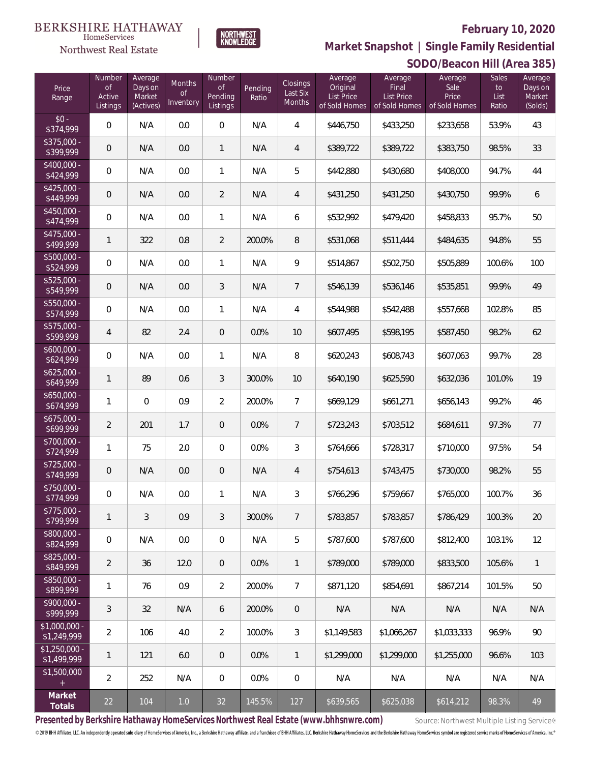

**SODO/Beacon Hill (Area 385) Market Snapshot | Single Family Residential**

### **BERKSHIRE HATHAWAY** HomeServices

Northwest Real Estate

| Price<br>Range                | Number<br><b>of</b><br>Active<br>Listings | Average<br>Days on<br>Market<br>(Actives) | <b>Months</b><br>$\circ$ f<br>Inventory | Number<br>$\mathsf{of}$<br>Pending<br>Listings | Pending<br>Ratio | Closings<br>Last Six<br>Months | Average<br>Original<br>List Price<br>of Sold Homes | Average<br>Final<br><b>List Price</b><br>of Sold Homes | Average<br>Sale<br>Price<br>of Sold Homes | <b>Sales</b><br>to<br>List<br>Ratio | Average<br>Days on<br>Market<br>(Solds) |
|-------------------------------|-------------------------------------------|-------------------------------------------|-----------------------------------------|------------------------------------------------|------------------|--------------------------------|----------------------------------------------------|--------------------------------------------------------|-------------------------------------------|-------------------------------------|-----------------------------------------|
| $$0 -$<br>\$374,999           | $\mathbf{0}$                              | N/A                                       | 0.0                                     | $\overline{0}$                                 | N/A              | $\overline{4}$                 | \$446,750                                          | \$433,250                                              | \$233,658                                 | 53.9%                               | 43                                      |
| \$375,000 -<br>\$399,999      | $\overline{0}$                            | N/A                                       | 0.0                                     | $\mathbf{1}$                                   | N/A              | $\overline{4}$                 | \$389,722                                          | \$389,722                                              | \$383,750                                 | 98.5%                               | 33                                      |
| $$400,000 -$<br>\$424,999     | $\mathbf{0}$                              | N/A                                       | 0.0                                     | $\mathbf{1}$                                   | N/A              | 5                              | \$442,880                                          | \$430,680                                              | \$408,000                                 | 94.7%                               | 44                                      |
| $$425,000 -$<br>\$449,999     | $\overline{0}$                            | N/A                                       | 0.0                                     | $\overline{2}$                                 | N/A              | $\overline{4}$                 | \$431,250                                          | \$431,250                                              | \$430,750                                 | 99.9%                               | 6                                       |
| $$450,000 -$<br>\$474,999     | $\overline{0}$                            | N/A                                       | 0.0                                     | $\mathbf{1}$                                   | N/A              | 6                              | \$532,992                                          | \$479,420                                              | \$458,833                                 | 95.7%                               | 50                                      |
| $$475,000 -$<br>\$499,999     | $\mathbf{1}$                              | 322                                       | 0.8                                     | $\overline{2}$                                 | 200.0%           | 8                              | \$531,068                                          | \$511,444                                              | \$484,635                                 | 94.8%                               | 55                                      |
| \$500,000 -<br>\$524,999      | $\mathbf{0}$                              | N/A                                       | 0.0                                     | $\mathbf{1}$                                   | N/A              | 9                              | \$514,867                                          | \$502,750                                              | \$505,889                                 | 100.6%                              | 100                                     |
| \$525,000 -<br>\$549,999      | $\overline{0}$                            | N/A                                       | 0.0                                     | 3                                              | N/A              | $\overline{7}$                 | \$546,139                                          | \$536,146                                              | \$535,851                                 | 99.9%                               | 49                                      |
| \$550,000 -<br>\$574,999      | $\mathbf 0$                               | N/A                                       | 0.0                                     | $\mathbf{1}$                                   | N/A              | 4                              | \$544,988                                          | \$542,488                                              | \$557,668                                 | 102.8%                              | 85                                      |
| \$575,000 -<br>\$599,999      | $\overline{4}$                            | 82                                        | 2.4                                     | $\mathbf 0$                                    | 0.0%             | 10                             | \$607,495                                          | \$598,195                                              | \$587,450                                 | 98.2%                               | 62                                      |
| $$600,000 -$<br>\$624,999     | $\mathbf 0$                               | N/A                                       | 0.0                                     | $\mathbf{1}$                                   | N/A              | 8                              | \$620,243                                          | \$608,743                                              | \$607,063                                 | 99.7%                               | 28                                      |
| $$625,000 -$<br>\$649,999     | $\mathbf{1}$                              | 89                                        | 0.6                                     | 3                                              | 300.0%           | 10                             | \$640,190                                          | \$625,590                                              | \$632,036                                 | 101.0%                              | 19                                      |
| $$650,000 -$<br>\$674,999     | 1                                         | $\overline{0}$                            | 0.9                                     | $\overline{2}$                                 | 200.0%           | $\overline{7}$                 | \$669,129                                          | \$661,271                                              | \$656,143                                 | 99.2%                               | 46                                      |
| $$675,000 -$<br>\$699,999     | $\overline{2}$                            | 201                                       | 1.7                                     | $\overline{0}$                                 | 0.0%             | $7\overline{ }$                | \$723,243                                          | \$703,512                                              | \$684,611                                 | 97.3%                               | 77                                      |
| $$700,000 -$<br>\$724,999     | 1                                         | 75                                        | 2.0                                     | $\overline{0}$                                 | 0.0%             | 3                              | \$764,666                                          | \$728,317                                              | \$710,000                                 | 97.5%                               | 54                                      |
| \$725,000 -<br>\$749,999      | $\overline{0}$                            | N/A                                       | 0.0                                     | $\overline{0}$                                 | N/A              | $\overline{4}$                 | \$754,613                                          | \$743,475                                              | \$730,000                                 | 98.2%                               | 55                                      |
| \$750,000 -<br>\$774,999      | $\mathbf 0$                               | N/A                                       | 0.0                                     | $\mathbf{1}$                                   | N/A              | 3                              | \$766,296                                          | \$759,667                                              | \$765,000                                 | 100.7%                              | 36                                      |
| $$775,000 -$<br>\$799,999     | $\mathbf{1}$                              | 3                                         | 0.9                                     | 3                                              | 300.0%           | $\overline{7}$                 | \$783.857                                          | \$783.857                                              | \$786,429                                 | 100.3%                              | 20                                      |
| $$800,000 -$<br>\$824,999     | $\mathbf 0$                               | N/A                                       | 0.0                                     | $\mathbf 0$                                    | N/A              | 5                              | \$787,600                                          | \$787,600                                              | \$812,400                                 | 103.1%                              | 12                                      |
| $$825,000 -$<br>\$849,999     | $\overline{2}$                            | 36                                        | 12.0                                    | $\overline{0}$                                 | 0.0%             | $\mathbf{1}$                   | \$789,000                                          | \$789,000                                              | \$833.500                                 | 105.6%                              | $\mathbf{1}$                            |
| \$850,000 -<br>\$899,999      | $\mathbf{1}$                              | 76                                        | 0.9                                     | $\overline{2}$                                 | 200.0%           | $\overline{7}$                 | \$871,120                                          | \$854,691                                              | \$867,214                                 | 101.5%                              | 50                                      |
| \$900,000 -<br>\$999,999      | 3                                         | 32                                        | N/A                                     | 6                                              | 200.0%           | $\theta$                       | N/A                                                | N/A                                                    | N/A                                       | N/A                                 | N/A                                     |
| $$1,000,000 -$<br>\$1,249,999 | $\overline{2}$                            | 106                                       | 4.0                                     | $\overline{2}$                                 | 100.0%           | 3                              | \$1,149,583                                        | \$1,066,267                                            | \$1,033,333                               | 96.9%                               | 90                                      |
| $$1,250,000 -$<br>\$1,499,999 | 1                                         | 121                                       | 6.0                                     | $\overline{0}$                                 | $0.0\%$          | $\overline{1}$                 | \$1,299,000                                        | \$1,299,000                                            | \$1,255,000                               | 96.6%                               | 103                                     |
| \$1,500,000<br>$+$            | $\overline{2}$                            | 252                                       | N/A                                     | $\,0\,$                                        | $0.0\%$          | $\mathbf 0$                    | N/A                                                | N/A                                                    | N/A                                       | N/A                                 | N/A                                     |
| Market<br>Totals              | 22                                        | 104                                       | $1.0\,$                                 | 32                                             | 145.5%           | 127                            | \$639,565                                          | \$625,038                                              | \$614,212                                 | 98.3%                               | 49                                      |

Presented by Berkshire Hathaway HomeServices Northwest Real Estate (www.bhhsnwre.com) Source: Northwest Multiple Listing Service®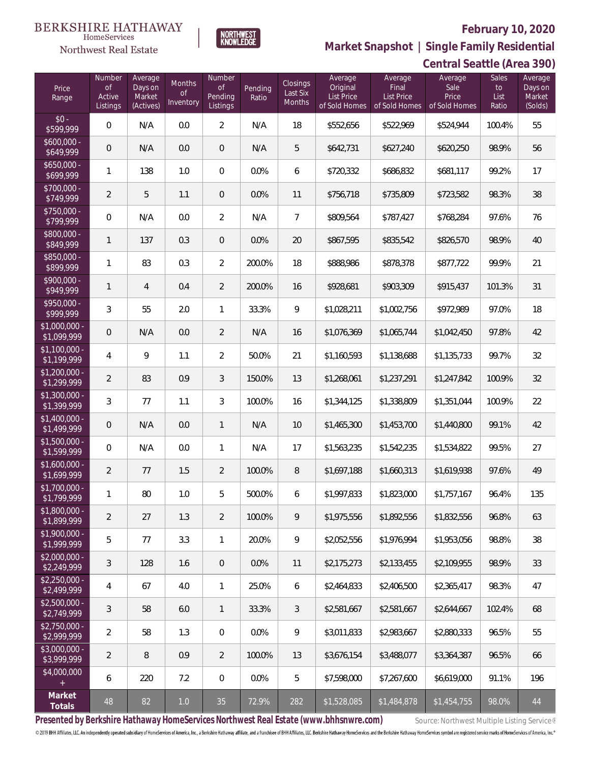

 $\label{lem:sevices} \textsc{Home} \textsc{Service} \textsc{s}$ Northwest Real Estate

# **Market Snapshot | Single Family Residential**

|                               | Central Seattle (Area 390)                |                                           |                                  |                                            |                  |                                |                                                    |                                                 |                                           |                              |                                         |
|-------------------------------|-------------------------------------------|-------------------------------------------|----------------------------------|--------------------------------------------|------------------|--------------------------------|----------------------------------------------------|-------------------------------------------------|-------------------------------------------|------------------------------|-----------------------------------------|
| Price<br>Range                | Number<br><b>of</b><br>Active<br>Listings | Average<br>Days on<br>Market<br>(Actives) | Months<br><b>of</b><br>Inventory | Number<br><b>of</b><br>Pending<br>Listings | Pending<br>Ratio | Closings<br>Last Six<br>Months | Average<br>Original<br>List Price<br>of Sold Homes | Average<br>Final<br>List Price<br>of Sold Homes | Average<br>Sale<br>Price<br>of Sold Homes | Sales<br>to<br>List<br>Ratio | Average<br>Days on<br>Market<br>(Solds) |
| $$0 -$<br>\$599,999           | 0                                         | N/A                                       | 0.0                              | $\overline{2}$                             | N/A              | 18                             | \$552,656                                          | \$522,969                                       | \$524,944                                 | 100.4%                       | 55                                      |
| $$600,000 -$<br>\$649,999     | 0                                         | N/A                                       | 0.0                              | $\overline{0}$                             | N/A              | 5                              | \$642,731                                          | \$627,240                                       | \$620,250                                 | 98.9%                        | 56                                      |
| $$650,000 -$<br>\$699,999     | 1                                         | 138                                       | 1.0                              | $\,0\,$                                    | 0.0%             | 6                              | \$720,332                                          | \$686,832                                       | \$681,117                                 | 99.2%                        | 17                                      |
| \$700,000 -<br>\$749,999      | 2                                         | 5                                         | 1.1                              | $\overline{0}$                             | 0.0%             | 11                             | \$756,718                                          | \$735,809                                       | \$723,582                                 | 98.3%                        | 38                                      |
| $$750,000 -$<br>\$799,999     | 0                                         | N/A                                       | 0.0                              | $\overline{2}$                             | N/A              | $\overline{7}$                 | \$809,564                                          | \$787,427                                       | \$768,284                                 | 97.6%                        | 76                                      |
| \$800,000 -<br>\$849,999      | 1                                         | 137                                       | 0.3                              | $\overline{0}$                             | 0.0%             | 20                             | \$867,595                                          | \$835,542                                       | \$826,570                                 | 98.9%                        | 40                                      |
| \$850,000 -<br>\$899,999      | 1                                         | 83                                        | 0.3                              | $\overline{2}$                             | 200.0%           | 18                             | \$888,986                                          | \$878,378                                       | \$877,722                                 | 99.9%                        | 21                                      |
| \$900,000 -<br>\$949,999      | 1                                         | $\overline{4}$                            | 0.4                              | $\overline{2}$                             | 200.0%           | 16                             | \$928,681                                          | \$903,309                                       | \$915,437                                 | 101.3%                       | 31                                      |
| \$950,000 -<br>\$999,999      | 3                                         | 55                                        | 2.0                              | $\mathbf{1}$                               | 33.3%            | 9                              | \$1,028,211                                        | \$1,002,756                                     | \$972,989                                 | 97.0%                        | 18                                      |
| $$1,000,000$ -<br>\$1,099,999 | $\mathbf 0$                               | N/A                                       | 0.0                              | $\overline{2}$                             | N/A              | 16                             | \$1,076,369                                        | \$1,065,744                                     | \$1,042,450                               | 97.8%                        | 42                                      |
| $$1,100,000$ -<br>\$1,199,999 | 4                                         | 9                                         | 1.1                              | $\overline{2}$                             | 50.0%            | 21                             | \$1,160,593                                        | \$1,138,688                                     | \$1,135,733                               | 99.7%                        | 32                                      |
| $$1,200,000 -$<br>\$1,299,999 | 2                                         | 83                                        | 0.9                              | 3                                          | 150.0%           | 13                             | \$1,268,061                                        | \$1,237,291                                     | \$1,247,842                               | 100.9%                       | 32                                      |
| $$1,300,000 -$<br>\$1,399,999 | 3                                         | 77                                        | 1.1                              | 3                                          | 100.0%           | 16                             | \$1,344,125                                        | \$1,338,809                                     | \$1,351,044                               | 100.9%                       | 22                                      |
| $$1,400,000 -$<br>\$1,499,999 | $\mathbf 0$                               | N/A                                       | 0.0                              | $\mathbf{1}$                               | N/A              | 10                             | \$1,465,300                                        | \$1,453,700                                     | \$1,440,800                               | 99.1%                        | 42                                      |
| $$1,500,000 -$<br>\$1,599,999 | 0                                         | N/A                                       | 0.0                              | 1                                          | N/A              | 17                             | \$1,563,235                                        | \$1,542,235                                     | \$1,534,822                               | 99.5%                        | 27                                      |
| $$1,600,000$ -<br>\$1,699,999 | 2                                         | 77                                        | 1.5                              | $\overline{2}$                             | 100.0%           | 8                              | \$1,697,188                                        | \$1,660,313                                     | \$1,619,938                               | 97.6%                        | 49                                      |
| \$1,700,000<br>\$1,799,999    | 1                                         | 80                                        | 1.0                              | 5                                          | 500.0%           | 6                              | \$1,997,833                                        | \$1,823,000                                     | \$1,757,167                               | 96.4%                        | 135                                     |
| \$1,800,000 -<br>\$1,899,999  | 2                                         | 27                                        | 1.3                              | $\overline{2}$                             | 100.0%           | 9                              | \$1,975,556                                        | \$1,892,556                                     | \$1,832,556                               | 96.8%                        | 63                                      |
| $$1,900,000 -$<br>\$1,999,999 | 5                                         | 77                                        | 3.3                              | $\mathbf{1}$                               | 20.0%            | 9                              | \$2,052,556                                        | \$1,976,994                                     | \$1,953,056                               | 98.8%                        | 38                                      |
| $$2,000,000 -$<br>\$2,249,999 | 3                                         | 128                                       | 1.6                              | $\overline{0}$                             | 0.0%             | 11                             | \$2,175,273                                        | \$2,133,455                                     | \$2,109,955                               | 98.9%                        | 33                                      |
| $$2,250,000 -$<br>\$2,499,999 | 4                                         | 67                                        | 4.0                              | $\mathbf{1}$                               | 25.0%            | 6                              | \$2,464,833                                        | \$2,406,500                                     | \$2,365,417                               | 98.3%                        | 47                                      |
| $$2,500,000 -$<br>\$2,749,999 | 3                                         | 58                                        | 6.0                              | $\mathbf{1}$                               | 33.3%            | 3                              | \$2,581,667                                        | \$2,581,667                                     | \$2,644,667                               | 102.4%                       | 68                                      |
| $$2,750,000 -$<br>\$2,999,999 | 2                                         | 58                                        | 1.3                              | $\overline{0}$                             | 0.0%             | 9                              | \$3,011,833                                        | \$2,983,667                                     | \$2,880,333                               | 96.5%                        | 55                                      |
| $$3.000.000 -$<br>\$3,999,999 | 2                                         | 8                                         | 0.9                              | 2                                          | 100.0%           | 13                             | \$3,676,154                                        | \$3,488,077                                     | \$3,364,387                               | 96.5%                        | 66                                      |
| \$4,000,000                   | 6                                         | 220                                       | 7.2                              | $\overline{0}$                             | $0.0\%$          | 5                              | \$7,598,000                                        | \$7,267,600                                     | \$6,619,000                               | 91.1%                        | 196                                     |
| Market<br>Totals              | 48                                        | 82                                        | 1.0                              | 35                                         | 72.9%            | 282                            | \$1,528,085                                        | \$1,484,878                                     | \$1,454,755                               | 98.0%                        | 44                                      |

Presented by Berkshire Hathaway HomeServices Northwest Real Estate (www.bhhsnwre.com) Source: Northwest Multiple Listing Service®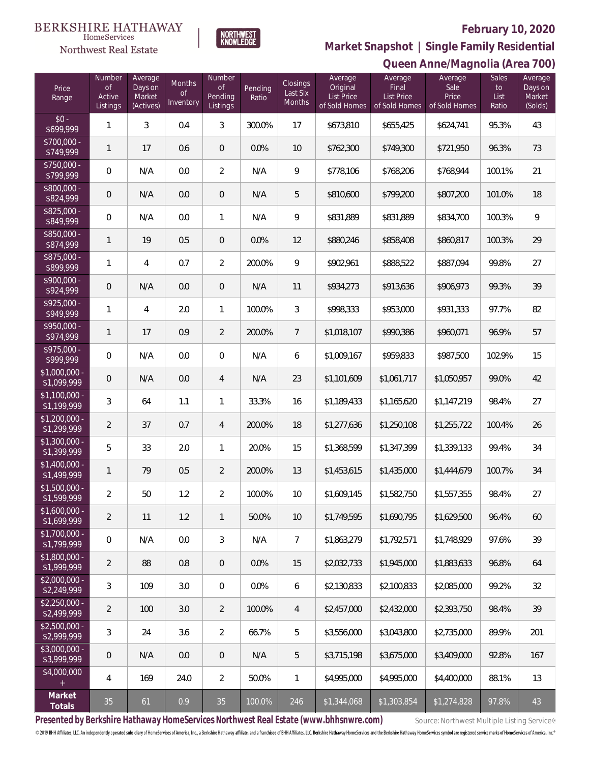#### **BERKSHIRE HATHAWAY**  $\label{lem:sevices} \textsc{Home} \textsc{Service} \textsc{s}$

# Northwest Real Estate



# **February 10, 2020**

**Queen Anne/Magnolia (Area 700) Market Snapshot | Single Family Residential**

| Price<br>Range                | Number<br>0f<br>Active<br>Listings | Average<br>Days on<br>Market<br>(Actives) | Months<br><b>of</b><br>Inventory | Number<br><b>of</b><br>Pending<br>Listings | Pending<br>Ratio | Closings<br>Last Six<br>Months | Average<br>Original<br><b>List Price</b><br>of Sold Homes | Average<br>Final<br><b>List Price</b><br>of Sold Homes | Average<br>Sale<br>Price<br>of Sold Homes | Sales<br>to<br>List<br>Ratio | Average<br>Days on<br>Market<br>(Solds) |
|-------------------------------|------------------------------------|-------------------------------------------|----------------------------------|--------------------------------------------|------------------|--------------------------------|-----------------------------------------------------------|--------------------------------------------------------|-------------------------------------------|------------------------------|-----------------------------------------|
| $$0 -$<br>\$699,999           | $\mathbf{1}$                       | $\mathfrak{Z}$                            | 0.4                              | $\mathfrak{Z}$                             | 300.0%           | 17                             | \$673,810                                                 | \$655,425                                              | \$624,741                                 | 95.3%                        | 43                                      |
| \$700,000 -<br>\$749,999      | $\mathbf{1}$                       | 17                                        | 0.6                              | $\overline{0}$                             | 0.0%             | 10                             | \$762,300                                                 | \$749,300                                              | \$721,950                                 | 96.3%                        | 73                                      |
| \$750,000 -<br>\$799,999      | 0                                  | N/A                                       | 0.0                              | $\overline{2}$                             | N/A              | 9                              | \$778,106                                                 | \$768,206                                              | \$768,944                                 | 100.1%                       | 21                                      |
| \$800,000 -<br>\$824,999      | 0                                  | N/A                                       | 0.0                              | $\overline{0}$                             | N/A              | 5                              | \$810,600                                                 | \$799,200                                              | \$807,200                                 | 101.0%                       | 18                                      |
| $$825,000 -$<br>\$849,999     | 0                                  | N/A                                       | 0.0                              | $\mathbf{1}$                               | N/A              | 9                              | \$831,889                                                 | \$831,889                                              | \$834,700                                 | 100.3%                       | 9                                       |
| \$850,000 -<br>\$874,999      | 1                                  | 19                                        | 0.5                              | $\mathbf 0$                                | 0.0%             | 12                             | \$880,246                                                 | \$858,408                                              | \$860,817                                 | 100.3%                       | 29                                      |
| \$875,000 -<br>\$899,999      | 1                                  | 4                                         | 0.7                              | $\overline{2}$                             | 200.0%           | 9                              | \$902,961                                                 | \$888,522                                              | \$887,094                                 | 99.8%                        | 27                                      |
| \$900,000 -<br>\$924,999      | $\mathsf{O}\xspace$                | N/A                                       | 0.0                              | $\mathbf 0$                                | N/A              | 11                             | \$934,273                                                 | \$913,636                                              | \$906,973                                 | 99.3%                        | 39                                      |
| $$925,000 -$<br>\$949,999     | 1                                  | 4                                         | 2.0                              | $\mathbf{1}$                               | 100.0%           | 3                              | \$998,333                                                 | \$953,000                                              | \$931,333                                 | 97.7%                        | 82                                      |
| \$950,000 -<br>\$974,999      | 1                                  | 17                                        | 0.9                              | $\overline{2}$                             | 200.0%           | $7\overline{ }$                | \$1,018,107                                               | \$990,386                                              | \$960,071                                 | 96.9%                        | 57                                      |
| $$975,000 -$<br>\$999,999     | 0                                  | N/A                                       | 0.0                              | $\overline{0}$                             | N/A              | 6                              | \$1,009,167                                               | \$959,833                                              | \$987,500                                 | 102.9%                       | 15                                      |
| $$1,000,000 -$<br>\$1,099,999 | 0                                  | N/A                                       | 0.0                              | 4                                          | N/A              | 23                             | \$1,101,609                                               | \$1,061,717                                            | \$1,050,957                               | 99.0%                        | 42                                      |
| $$1,100,000 -$<br>\$1,199,999 | 3                                  | 64                                        | 1.1                              | $\mathbf{1}$                               | 33.3%            | 16                             | \$1,189,433                                               | \$1,165,620                                            | \$1,147,219                               | 98.4%                        | 27                                      |
| $$1,200,000 -$<br>\$1,299,999 | 2                                  | 37                                        | 0.7                              | $\overline{4}$                             | 200.0%           | 18                             | \$1,277,636                                               | \$1,250,108                                            | \$1,255,722                               | 100.4%                       | 26                                      |
| $$1,300,000 -$<br>\$1,399,999 | 5                                  | 33                                        | 2.0                              | $\mathbf{1}$                               | 20.0%            | 15                             | \$1,368,599                                               | \$1,347,399                                            | \$1,339,133                               | 99.4%                        | 34                                      |
| $$1,400,000$ -<br>\$1,499,999 | 1                                  | 79                                        | 0.5                              | $\overline{2}$                             | 200.0%           | 13                             | \$1,453,615                                               | \$1,435,000                                            | \$1,444,679                               | 100.7%                       | 34                                      |
| $$1,500,000 -$<br>\$1,599,999 | $\overline{2}$                     | 50                                        | 1.2                              | $\overline{2}$                             | 100.0%           | 10                             | \$1,609,145                                               | \$1,582,750                                            | \$1,557,355                               | 98.4%                        | 27                                      |
| $$1,600,000 -$<br>\$1,699,999 | $\overline{2}$                     | 11                                        | 1.2                              | $\mathbf{1}$                               | 50.0%            | 10                             | \$1,749,595                                               | \$1,690.795                                            | \$1,629,500                               | 96.4%                        | 60                                      |
| $$1,700,000$ -<br>\$1,799,999 | 0                                  | N/A                                       | 0.0                              | 3                                          | N/A              | $\overline{7}$                 | \$1,863,279                                               | \$1,792,571                                            | \$1,748,929                               | 97.6%                        | 39                                      |
| $$1,800,000$ -<br>\$1,999,999 | 2                                  | 88                                        | 0.8                              | $\overline{0}$                             | 0.0%             | 15                             | \$2,032,733                                               | \$1,945,000                                            | \$1,883,633                               | 96.8%                        | 64                                      |
| $$2,000,000 -$<br>\$2,249,999 | 3                                  | 109                                       | 3.0                              | $\overline{0}$                             | 0.0%             | 6                              | \$2,130,833                                               | \$2,100,833                                            | \$2,085,000                               | 99.2%                        | 32                                      |
| $$2,250,000 -$<br>\$2,499,999 | 2                                  | 100                                       | 3.0                              | 2                                          | 100.0%           | 4                              | \$2,457,000                                               | \$2,432,000                                            | \$2,393,750                               | 98.4%                        | 39                                      |
| $$2,500,000 -$<br>\$2,999,999 | 3                                  | 24                                        | 3.6                              | $\overline{2}$                             | 66.7%            | 5                              | \$3,556,000                                               | \$3,043,800                                            | \$2,735,000                               | 89.9%                        | 201                                     |
| $$3.000.000 -$<br>\$3,999,999 | 0                                  | N/A                                       | 0.0                              | $\overline{0}$                             | N/A              | 5                              | \$3,715,198                                               | \$3,675,000                                            | \$3,409,000                               | 92.8%                        | 167                                     |
| \$4,000,000<br>$+$            | 4                                  | 169                                       | 24.0                             | $\overline{2}$                             | 50.0%            | 1                              | \$4,995,000                                               | \$4,995,000                                            | \$4,400,000                               | 88.1%                        | 13                                      |
| Market<br>Totals              | 35                                 | 61                                        | 0.9                              | 35                                         | 100.0%           | 246                            | \$1,344,068                                               | \$1,303,854                                            | \$1,274,828                               | 97.8%                        | 43                                      |

Presented by Berkshire Hathaway HomeServices Northwest Real Estate (www.bhhsnwre.com) Source: Northwest Multiple Listing Service®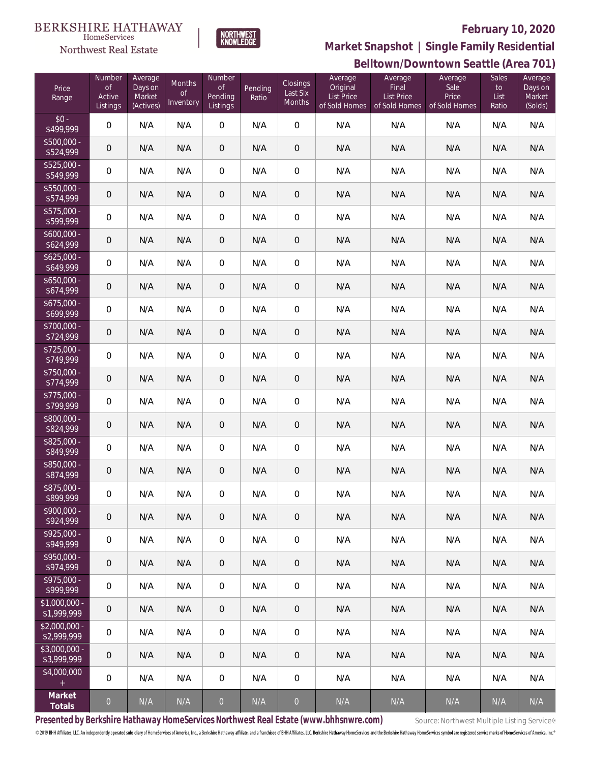

 $\label{lem:sevices} \textsc{Home} \textsc{Service} \textsc{s}$ Northwest Real Estate

**Belltown/Downtown Seattle (Area 701) Market Snapshot | Single Family Residential**

|                               |                                           |                                           |                           |                                     |                  |                                |                                                    |                                                        | $D$ CHTOWHI/DOWHTOWH JCQTHC (ATCQ 701)    |                              |                                         |
|-------------------------------|-------------------------------------------|-------------------------------------------|---------------------------|-------------------------------------|------------------|--------------------------------|----------------------------------------------------|--------------------------------------------------------|-------------------------------------------|------------------------------|-----------------------------------------|
| Price<br>Range                | Number<br><b>of</b><br>Active<br>Listings | Average<br>Days on<br>Market<br>(Actives) | Months<br>Οf<br>Inventory | Number<br>Οf<br>Pending<br>Listings | Pending<br>Ratio | Closings<br>Last Six<br>Months | Average<br>Original<br>List Price<br>of Sold Homes | Average<br>Final<br><b>List Price</b><br>of Sold Homes | Average<br>Sale<br>Price<br>of Sold Homes | Sales<br>to<br>List<br>Ratio | Average<br>Days on<br>Market<br>(Solds) |
| $$0 -$<br>\$499,999           | $\mathbf 0$                               | N/A                                       | N/A                       | $\mathbf 0$                         | N/A              | $\mathbf 0$                    | N/A                                                | N/A                                                    | N/A                                       | N/A                          | N/A                                     |
| $$500,000 -$<br>\$524,999     | $\theta$                                  | N/A                                       | N/A                       | $\mathbf 0$                         | N/A              | $\overline{0}$                 | N/A                                                | N/A                                                    | N/A                                       | N/A                          | N/A                                     |
| $$525,000 -$<br>\$549,999     | $\mathbf 0$                               | N/A                                       | N/A                       | $\mathbf 0$                         | N/A              | $\mathbf 0$                    | N/A                                                | N/A                                                    | N/A                                       | N/A                          | N/A                                     |
| \$550,000 -<br>\$574,999      | $\theta$                                  | N/A                                       | N/A                       | $\theta$                            | N/A              | $\overline{0}$                 | N/A                                                | N/A                                                    | N/A                                       | N/A                          | N/A                                     |
| $$575,000 -$<br>\$599,999     | $\mathbf 0$                               | N/A                                       | N/A                       | $\mathbf 0$                         | N/A              | $\mathbf 0$                    | N/A                                                | N/A                                                    | N/A                                       | N/A                          | N/A                                     |
| $$600,000 -$<br>\$624,999     | $\theta$                                  | N/A                                       | N/A                       | $\mathbf 0$                         | N/A              | $\mathbf 0$                    | N/A                                                | N/A                                                    | N/A                                       | N/A                          | N/A                                     |
| $$625,000 -$<br>\$649,999     | $\mathbf 0$                               | N/A                                       | N/A                       | $\mathbf 0$                         | N/A              | $\mathbf 0$                    | N/A                                                | N/A                                                    | N/A                                       | N/A                          | N/A                                     |
| $$650,000 -$<br>\$674,999     | $\theta$                                  | N/A                                       | N/A                       | $\mathbf 0$                         | N/A              | $\mathbf 0$                    | N/A                                                | N/A                                                    | N/A                                       | N/A                          | N/A                                     |
| $$675,000 -$<br>\$699,999     | $\mathbf 0$                               | N/A                                       | N/A                       | $\mathbf 0$                         | N/A              | $\mathbf 0$                    | N/A                                                | N/A                                                    | N/A                                       | N/A                          | N/A                                     |
| \$700,000 -<br>\$724,999      | $\mathbf 0$                               | N/A                                       | N/A                       | $\theta$                            | N/A              | $\sqrt{a}$                     | N/A                                                | N/A                                                    | N/A                                       | N/A                          | N/A                                     |
| $$725,000 -$<br>\$749,999     | $\mathbf 0$                               | N/A                                       | N/A                       | $\mathbf 0$                         | N/A              | $\mathbf 0$                    | N/A                                                | N/A                                                    | N/A                                       | N/A                          | N/A                                     |
| \$750,000 -<br>\$774,999      | $\theta$                                  | N/A                                       | N/A                       | $\theta$                            | N/A              | $\theta$                       | N/A                                                | N/A                                                    | N/A                                       | N/A                          | N/A                                     |
| $$775,000 -$<br>\$799,999     | $\mathbf 0$                               | N/A                                       | N/A                       | $\mathbf 0$                         | N/A              | $\mathbf 0$                    | N/A                                                | N/A                                                    | N/A                                       | N/A                          | N/A                                     |
| \$800,000 -<br>\$824,999      | $\mathbf 0$                               | N/A                                       | N/A                       | $\theta$                            | N/A              | $\theta$                       | N/A                                                | N/A                                                    | N/A                                       | N/A                          | N/A                                     |
| \$825,000 -<br>\$849,999      | $\mathbf 0$                               | N/A                                       | N/A                       | $\mathbf 0$                         | N/A              | $\mathbf 0$                    | N/A                                                | N/A                                                    | N/A                                       | N/A                          | N/A                                     |
| \$850,000 -<br>\$874,999      | $\theta$                                  | N/A                                       | N/A                       | $\theta$                            | N/A              | $\theta$                       | N/A                                                | N/A                                                    | N/A                                       | N/A                          | N/A                                     |
| \$875,000 -<br>\$899,999      | $\mathbf 0$                               | N/A                                       | N/A                       | $\overline{0}$                      | N/A              | $\mathbf 0$                    | N/A                                                | N/A                                                    | N/A                                       | N/A                          | N/A                                     |
| \$900,000 -<br>\$924,999      | $\mathbf 0$                               | N/A                                       | N/A                       | $\theta$                            | N/A              | $\overline{0}$                 | N/A                                                | N/A                                                    | N/A                                       | N/A                          | N/A                                     |
| $$925,000 -$<br>\$949,999     | 0                                         | N/A                                       | N/A                       | $\,0\,$                             | N/A              | $\overline{0}$                 | N/A                                                | N/A                                                    | N/A                                       | N/A                          | N/A                                     |
| \$950,000 -<br>\$974,999      | $\overline{0}$                            | N/A                                       | N/A                       | $\mathbf 0$                         | N/A              | $\theta$                       | N/A                                                | N/A                                                    | N/A                                       | N/A                          | N/A                                     |
| $$975,000 -$<br>\$999,999     | 0                                         | N/A                                       | N/A                       | $\boldsymbol{0}$                    | N/A              | $\overline{0}$                 | N/A                                                | N/A                                                    | N/A                                       | N/A                          | N/A                                     |
| $$1,000,000 -$<br>\$1,999,999 | $\mathsf{O}\xspace$                       | N/A                                       | N/A                       | $\mathbf 0$                         | N/A              | $\theta$                       | N/A                                                | N/A                                                    | N/A                                       | N/A                          | N/A                                     |
| $$2,000,000 -$<br>\$2,999,999 | 0                                         | N/A                                       | N/A                       | $\boldsymbol{0}$                    | N/A              | $\overline{0}$                 | N/A                                                | N/A                                                    | N/A                                       | N/A                          | N/A                                     |
| \$3,000,000 -<br>\$3,999,999  | $\overline{0}$                            | N/A                                       | N/A                       | $\mathbf 0$                         | N/A              | $\overline{0}$                 | N/A                                                | N/A                                                    | N/A                                       | N/A                          | N/A                                     |
| \$4,000,000<br>$+$            | $\,0\,$                                   | N/A                                       | N/A                       | $\mathbf 0$                         | N/A              | $\overline{0}$                 | N/A                                                | N/A                                                    | N/A                                       | N/A                          | N/A                                     |
| Market<br>Totals              | $\overline{0}$                            | N/A                                       | N/A                       | $\overline{0}$                      | N/A              | $\overline{0}$                 | N/A                                                | N/A                                                    | N/A                                       | N/A                          | N/A                                     |

Presented by Berkshire Hathaway HomeServices Northwest Real Estate (www.bhhsnwre.com) Source: Northwest Multiple Listing Service®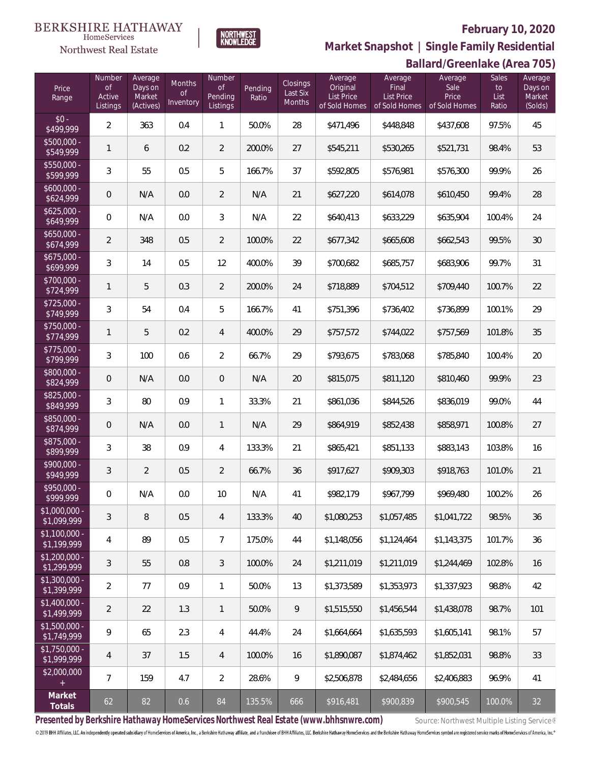

**Ballard/Greenlake (Area 705) Market Snapshot | Single Family Residential**

#### **BERKSHIRE HATHAWAY** NORTHWEST<br>KNOWLEDGE  $\label{lem:sevices} \textsc{Home} \textsc{Service} \textsc{s}$ Northwest Real Estate

|                               | Number              | Average           | <b>Months</b> | Number               |                  | Closings                  | Average                       | Average                    | <u>Parial al Orgeniano (m. ca. 1997</u><br>Average | <b>Sales</b> | Average           |
|-------------------------------|---------------------|-------------------|---------------|----------------------|------------------|---------------------------|-------------------------------|----------------------------|----------------------------------------------------|--------------|-------------------|
| Price<br>Range                | Οf<br>Active        | Days on<br>Market | <b>of</b>     | <b>of</b><br>Pending | Pending<br>Ratio | Last Six<br><b>Months</b> | Original<br><b>List Price</b> | Final<br><b>List Price</b> | Sale<br>Price                                      | to<br>List   | Days on<br>Market |
|                               | Listings            | (Actives)         | Inventory     | Listings             |                  |                           | of Sold Homes                 | of Sold Homes              | of Sold Homes                                      | Ratio        | (Solds)           |
| $$0 -$<br>\$499,999           | $\overline{2}$      | 363               | 0.4           | $\mathbf{1}$         | 50.0%            | 28                        | \$471,496                     | \$448,848                  | \$437,608                                          | 97.5%        | 45                |
| $$500,000 -$<br>\$549,999     | $\mathbf{1}$        | 6                 | 0.2           | $\overline{2}$       | 200.0%           | 27                        | \$545,211                     | \$530,265                  | \$521,731                                          | 98.4%        | 53                |
| \$550,000 -<br>\$599,999      | $\mathfrak{Z}$      | 55                | 0.5           | 5                    | 166.7%           | 37                        | \$592,805                     | \$576,981                  | \$576,300                                          | 99.9%        | 26                |
| $$600,000 -$<br>\$624,999     | $\mathsf{O}\xspace$ | N/A               | 0.0           | $\overline{2}$       | N/A              | 21                        | \$627,220                     | \$614,078                  | \$610,450                                          | 99.4%        | 28                |
| $$625,000 -$<br>\$649,999     | 0                   | N/A               | 0.0           | $\mathfrak{Z}$       | N/A              | 22                        | \$640,413                     | \$633,229                  | \$635,904                                          | 100.4%       | 24                |
| $$650,000 -$<br>\$674,999     | $\overline{2}$      | 348               | 0.5           | $\overline{2}$       | 100.0%           | 22                        | \$677,342                     | \$665,608                  | \$662,543                                          | 99.5%        | 30                |
| $$675,000 -$<br>\$699,999     | $\mathfrak{Z}$      | 14                | 0.5           | 12                   | 400.0%           | 39                        | \$700,682                     | \$685,757                  | \$683,906                                          | 99.7%        | 31                |
| \$700,000 -<br>\$724,999      | $\mathbf{1}$        | 5                 | 0.3           | $\overline{2}$       | 200.0%           | 24                        | \$718,889                     | \$704,512                  | \$709,440                                          | 100.7%       | 22                |
| $$725,000 -$<br>\$749,999     | $\sqrt{3}$          | 54                | 0.4           | 5                    | 166.7%           | 41                        | \$751,396                     | \$736,402                  | \$736,899                                          | 100.1%       | 29                |
| \$750,000 -<br>\$774,999      | $\mathbf{1}$        | 5                 | 0.2           | 4                    | 400.0%           | 29                        | \$757,572                     | \$744,022                  | \$757,569                                          | 101.8%       | 35                |
| $$775,000 -$<br>\$799,999     | $\sqrt{3}$          | 100               | 0.6           | $\overline{2}$       | 66.7%            | 29                        | \$793,675                     | \$783,068                  | \$785,840                                          | 100.4%       | 20                |
| \$800,000 -<br>\$824,999      | $\mathsf{O}\xspace$ | N/A               | 0.0           | $\mathbf 0$          | N/A              | 20                        | \$815,075                     | \$811,120                  | \$810,460                                          | 99.9%        | 23                |
| $$825,000 -$<br>\$849,999     | $\sqrt{3}$          | 80                | 0.9           | $\mathbf{1}$         | 33.3%            | 21                        | \$861,036                     | \$844,526                  | \$836,019                                          | 99.0%        | 44                |
| \$850,000 -<br>\$874,999      | $\mathsf{O}\xspace$ | N/A               | 0.0           | $\mathbf{1}$         | N/A              | 29                        | \$864,919                     | \$852,438                  | \$858,971                                          | 100.8%       | 27                |
| \$875,000 -<br>\$899,999      | $\sqrt{3}$          | 38                | 0.9           | $\overline{4}$       | 133.3%           | 21                        | \$865,421                     | \$851,133                  | \$883,143                                          | 103.8%       | 16                |
| \$900,000 -<br>\$949,999      | $\sqrt{3}$          | $\overline{2}$    | 0.5           | $\overline{2}$       | 66.7%            | 36                        | \$917,627                     | \$909,303                  | \$918,763                                          | 101.0%       | 21                |
| \$950,000 -<br>\$999,999      | 0                   | N/A               | 0.0           | 10                   | N/A              | 41                        | \$982,179                     | \$967,799                  | \$969,480                                          | 100.2%       | 26                |
| $$1,000,000 -$<br>\$1,099,999 | $\mathfrak{Z}$      | 8                 | 0.5           | $\overline{4}$       | 133.3%           | 40                        | \$1,080,253                   | \$1,057,485                | \$1,041,722                                        | 98.5%        | 36                |
| $$1,100,000 -$<br>\$1,199,999 | $\overline{4}$      | 89                | 0.5           | $7\overline{ }$      | 175.0%           | 44                        | \$1,148,056                   | \$1,124,464                | \$1,143,375                                        | 101.7%       | 36                |
| $$1,200,000 -$<br>\$1,299,999 | 3                   | 55                | 0.8           | $\mathfrak{Z}$       | 100.0%           | 24                        | \$1,211,019                   | \$1,211,019                | \$1,244,469                                        | 102.8%       | 16                |
| $$1,300,000 -$<br>\$1,399,999 | $\overline{2}$      | 77                | 0.9           | $\mathbf{1}$         | 50.0%            | 13                        | \$1,373,589                   | \$1,353,973                | \$1,337,923                                        | 98.8%        | 42                |
| $$1,400,000 -$<br>\$1,499,999 | $\overline{2}$      | 22                | 1.3           | $\mathbf{1}$         | 50.0%            | 9                         | \$1,515,550                   | \$1,456,544                | \$1,438,078                                        | 98.7%        | 101               |
| $$1,500,000 -$<br>\$1,749,999 | $\overline{9}$      | 65                | 2.3           | $\overline{4}$       | 44.4%            | 24                        | \$1,664,664                   | \$1,635,593                | \$1,605,141                                        | 98.1%        | 57                |
| $$1,750,000 -$<br>\$1,999,999 | $\overline{4}$      | 37                | 1.5           | $\overline{4}$       | 100.0%           | 16                        | \$1,890,087                   | \$1,874,462                | \$1,852,031                                        | 98.8%        | 33                |
| \$2,000,000<br>$\pm$          | $7\overline{ }$     | 159               | 4.7           | $\overline{2}$       | 28.6%            | 9                         | \$2,506,878                   | \$2,484,656                | \$2,406,883                                        | 96.9%        | 41                |
| Market<br>Totals              | 62                  | 82                | 0.6           | 84                   | 135.5%           | 666                       | \$916,481                     | \$900,839                  | \$900,545                                          | 100.0%       | 32                |

Presented by Berkshire Hathaway HomeServices Northwest Real Estate (www.bhhsnwre.com) Source: Northwest Multiple Listing Service®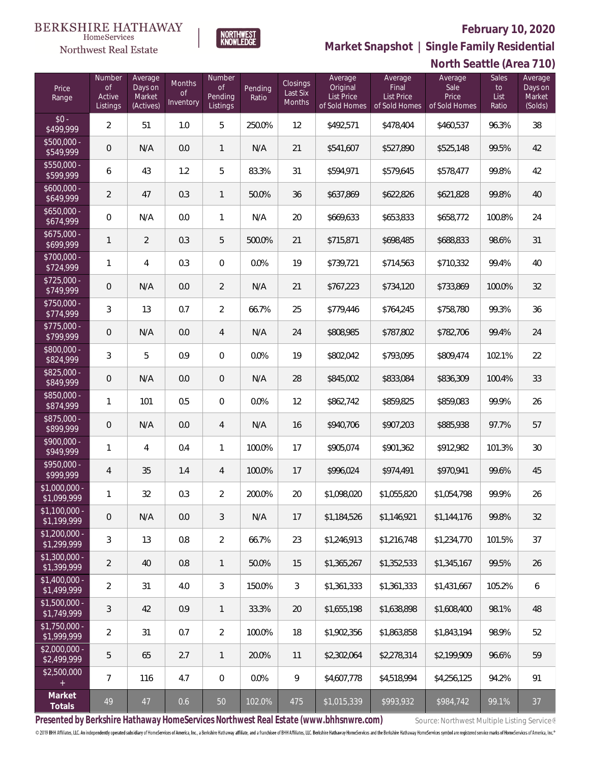

**BERKSHIRE HATHAWAY** 

HomeServices Northwest Real Estate

**Market Snapshot | Single Family Residential**

|                               | North Seattle (Area 710)                  |                                           |                           |                                     |                  |                                |                                                    |                                                        |                                           |                              |                                         |
|-------------------------------|-------------------------------------------|-------------------------------------------|---------------------------|-------------------------------------|------------------|--------------------------------|----------------------------------------------------|--------------------------------------------------------|-------------------------------------------|------------------------------|-----------------------------------------|
| Price<br>Range                | Number<br><b>of</b><br>Active<br>Listings | Average<br>Days on<br>Market<br>(Actives) | Months<br>Οf<br>Inventory | Number<br>0f<br>Pending<br>Listings | Pending<br>Ratio | Closings<br>Last Six<br>Months | Average<br>Original<br>List Price<br>of Sold Homes | Average<br>Final<br><b>List Price</b><br>of Sold Homes | Average<br>Sale<br>Price<br>of Sold Homes | Sales<br>to<br>List<br>Ratio | Average<br>Days on<br>Market<br>(Solds) |
| $$0 -$<br>\$499,999           | $\overline{2}$                            | 51                                        | $1.0\,$                   | 5                                   | 250.0%           | 12                             | \$492,571                                          | \$478,404                                              | \$460,537                                 | 96.3%                        | 38                                      |
| \$500,000 -<br>\$549,999      | $\mathsf{O}\xspace$                       | N/A                                       | 0.0                       | $\mathbf{1}$                        | N/A              | 21                             | \$541,607                                          | \$527,890                                              | \$525,148                                 | 99.5%                        | 42                                      |
| \$550,000 -<br>\$599,999      | 6                                         | 43                                        | 1.2                       | 5                                   | 83.3%            | 31                             | \$594,971                                          | \$579,645                                              | \$578,477                                 | 99.8%                        | 42                                      |
| $$600,000 -$<br>\$649,999     | $\overline{2}$                            | 47                                        | 0.3                       | $\mathbf{1}$                        | 50.0%            | 36                             | \$637,869                                          | \$622,826                                              | \$621,828                                 | 99.8%                        | $40\,$                                  |
| $$650,000 -$<br>\$674,999     | 0                                         | N/A                                       | 0.0                       | $\mathbf{1}$                        | N/A              | 20                             | \$669,633                                          | \$653,833                                              | \$658,772                                 | 100.8%                       | 24                                      |
| $$675,000 -$<br>\$699,999     | 1                                         | $\overline{2}$                            | 0.3                       | 5                                   | 500.0%           | 21                             | \$715,871                                          | \$698,485                                              | \$688,833                                 | 98.6%                        | 31                                      |
| \$700,000 -<br>\$724,999      | 1                                         | 4                                         | 0.3                       | $\,0\,$                             | 0.0%             | 19                             | \$739,721                                          | \$714,563                                              | \$710,332                                 | 99.4%                        | 40                                      |
| $$725,000 -$<br>\$749,999     | $\mathsf{O}\xspace$                       | N/A                                       | 0.0                       | $\overline{2}$                      | N/A              | 21                             | \$767,223                                          | \$734,120                                              | \$733,869                                 | 100.0%                       | 32                                      |
| \$750,000 -<br>\$774,999      | $\mathfrak{Z}$                            | 13                                        | 0.7                       | $\overline{2}$                      | 66.7%            | 25                             | \$779,446                                          | \$764,245                                              | \$758,780                                 | 99.3%                        | 36                                      |
| $$775,000 -$<br>\$799,999     | $\mathsf{O}\xspace$                       | N/A                                       | 0.0                       | 4                                   | N/A              | 24                             | \$808,985                                          | \$787,802                                              | \$782,706                                 | 99.4%                        | 24                                      |
| \$800,000 -<br>\$824,999      | 3                                         | 5                                         | 0.9                       | $\overline{0}$                      | 0.0%             | 19                             | \$802,042                                          | \$793,095                                              | \$809,474                                 | 102.1%                       | 22                                      |
| \$825,000 -<br>\$849,999      | $\mathsf{O}\xspace$                       | N/A                                       | 0.0                       | $\mathbf 0$                         | N/A              | 28                             | \$845,002                                          | \$833,084                                              | \$836,309                                 | 100.4%                       | 33                                      |
| \$850,000 -<br>\$874,999      | 1                                         | 101                                       | 0.5                       | $\,0\,$                             | 0.0%             | 12                             | \$862,742                                          | \$859,825                                              | \$859,083                                 | 99.9%                        | 26                                      |
| \$875,000 -<br>\$899,999      | $\mathbf 0$                               | N/A                                       | 0.0                       | $\overline{4}$                      | N/A              | 16                             | \$940,706                                          | \$907,203                                              | \$885,938                                 | 97.7%                        | 57                                      |
| \$900,000 -<br>\$949,999      | 1                                         | 4                                         | 0.4                       | $\mathbf{1}$                        | 100.0%           | 17                             | \$905,074                                          | \$901,362                                              | \$912,982                                 | 101.3%                       | $30\,$                                  |
| \$950,000 -<br>\$999,999      | 4                                         | 35                                        | 1.4                       | 4                                   | 100.0%           | 17                             | \$996,024                                          | \$974,491                                              | \$970,941                                 | 99.6%                        | 45                                      |
| \$1,000,000 -<br>\$1,099,999  | 1                                         | 32                                        | 0.3                       | $\overline{2}$                      | 200.0%           | 20                             | \$1,098,020                                        | \$1,055,820                                            | \$1,054,798                               | 99.9%                        | 26                                      |
| $$1,100,000 -$<br>\$1,199,999 | $\mathbf 0$                               | N/A                                       | 0.0                       | $\mathfrak{Z}$                      | N/A              | 17                             | \$1,184,526                                        | \$1,146,921                                            | \$1,144,176                               | 99.8%                        | 32                                      |
| $$1,200,000 -$<br>\$1,299,999 | $\mathfrak{Z}$                            | 13                                        | 0.8                       | $\overline{2}$                      | 66.7%            | 23                             | \$1,246,913                                        | \$1,216,748                                            | \$1,234,770                               | 101.5%                       | 37                                      |
| $$1,300,000 -$<br>\$1,399,999 | $\overline{2}$                            | 40                                        | 0.8                       | $\mathbf{1}$                        | 50.0%            | 15                             | \$1,365,267                                        | \$1,352,533                                            | \$1,345,167                               | 99.5%                        | 26                                      |
| $$1,400,000 -$<br>\$1,499,999 | $\overline{2}$                            | 31                                        | 4.0                       | $\mathfrak{Z}$                      | 150.0%           | 3                              | \$1,361,333                                        | \$1,361,333                                            | \$1,431,667                               | 105.2%                       | 6                                       |
| $$1,500,000 -$<br>\$1,749,999 | $\mathfrak{Z}$                            | 42                                        | 0.9                       | $\mathbf{1}$                        | 33.3%            | 20                             | \$1,655,198                                        | \$1,638,898                                            | \$1,608,400                               | 98.1%                        | 48                                      |
| $$1,750,000 -$<br>\$1,999,999 | $\overline{2}$                            | 31                                        | 0.7                       | $\overline{2}$                      | 100.0%           | 18                             | \$1,902,356                                        | \$1,863,858                                            | \$1,843,194                               | 98.9%                        | 52                                      |
| $$2,000,000 -$<br>\$2,499,999 | 5                                         | 65                                        | 2.7                       | 1                                   | 20.0%            | 11                             | \$2,302,064                                        | \$2,278,314                                            | \$2,199,909                               | 96.6%                        | 59                                      |
| \$2,500,000<br>$\ddot{}$      | $\overline{7}$                            | 116                                       | 4.7                       | $\sqrt{0}$                          | 0.0%             | 9                              | \$4,607,778                                        | \$4,518,994                                            | \$4,256,125                               | 94.2%                        | 91                                      |
| Market<br>Totals              | 49                                        | 47                                        | 0.6                       | 50                                  | 102.0%           | 475                            | \$1,015,339                                        | \$993,932                                              | \$984,742                                 | 99.1%                        | 37                                      |

Presented by Berkshire Hathaway HomeServices Northwest Real Estate (www.bhhsnwre.com) Source: Northwest Multiple Listing Service®